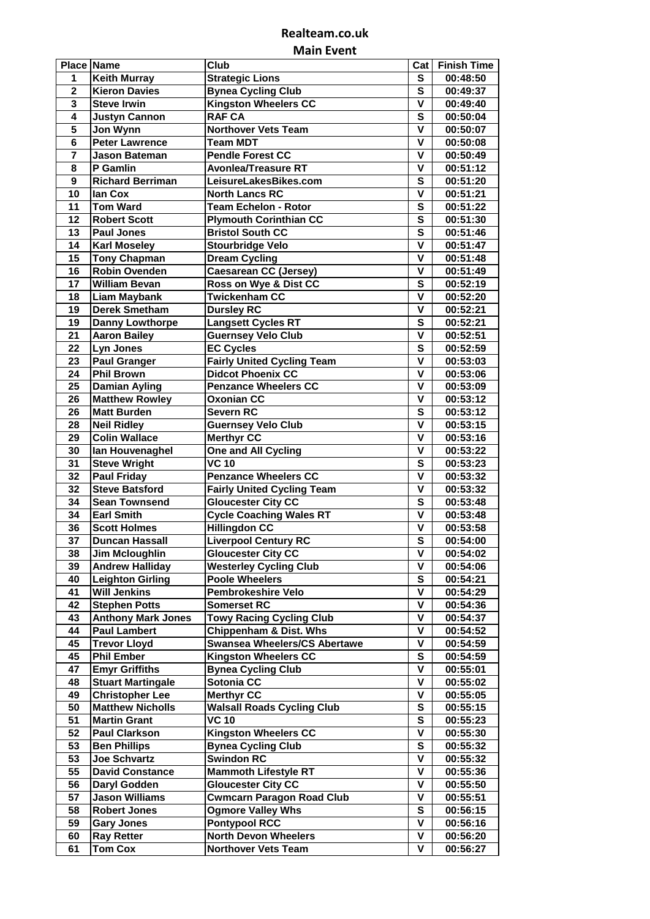## **Realteam.co.uk Main Event**

| <b>Place Name</b> |                                             | Club                                |                         | Cat Finish Time      |
|-------------------|---------------------------------------------|-------------------------------------|-------------------------|----------------------|
| 1                 | <b>Keith Murray</b>                         | <b>Strategic Lions</b>              | S                       | 00:48:50             |
| $\mathbf 2$       | <b>Kieron Davies</b>                        | <b>Bynea Cycling Club</b>           | S                       | 00:49:37             |
| 3                 | <b>Steve Irwin</b>                          | <b>Kingston Wheelers CC</b>         | V                       | 00:49:40             |
| 4                 | <b>Justyn Cannon</b>                        | <b>RAF CA</b>                       | S                       | 00:50:04             |
| 5                 | Jon Wynn                                    | <b>Northover Vets Team</b>          | $\overline{\mathsf{v}}$ | 00:50:07             |
| 6                 | <b>Peter Lawrence</b>                       | <b>Team MDT</b>                     | V                       | 00:50:08             |
| 7                 | <b>Jason Bateman</b>                        | <b>Pendle Forest CC</b>             | V                       | 00:50:49             |
| 8                 | P Gamlin                                    | <b>Avonlea/Treasure RT</b>          | V                       | 00:51:12             |
| 9                 | <b>Richard Berriman</b>                     | LeisureLakesBikes.com               | S                       | 00:51:20             |
| 10                | lan Cox                                     | <b>North Lancs RC</b>               | v                       | 00:51:21             |
| 11                | <b>Tom Ward</b>                             | <b>Team Echelon - Rotor</b>         | S                       | 00:51:22             |
| 12                | <b>Robert Scott</b>                         | <b>Plymouth Corinthian CC</b>       | S                       | 00:51:30             |
| 13                | <b>Paul Jones</b>                           | <b>Bristol South CC</b>             | S                       | 00:51:46             |
| 14                | <b>Karl Moseley</b>                         | <b>Stourbridge Velo</b>             | V                       | 00:51:47             |
| 15                | <b>Tony Chapman</b>                         | <b>Dream Cycling</b>                | V                       | 00:51:48             |
| 16                | <b>Robin Ovenden</b>                        | <b>Caesarean CC (Jersey)</b>        | V                       | 00:51:49             |
| 17                | <b>William Bevan</b>                        | Ross on Wye & Dist CC               | $\overline{\mathbf{s}}$ | 00:52:19             |
| 18                |                                             | <b>Twickenham CC</b>                | v                       |                      |
| 19                | <b>Liam Maybank</b><br><b>Derek Smetham</b> |                                     | V                       | 00:52:20<br>00:52:21 |
| 19                |                                             | <b>Dursley RC</b>                   | S                       |                      |
|                   | <b>Danny Lowthorpe</b>                      | <b>Langsett Cycles RT</b>           |                         | 00:52:21             |
| 21                | <b>Aaron Bailey</b>                         | <b>Guernsey Velo Club</b>           | V                       | 00:52:51             |
| 22                | <b>Lyn Jones</b>                            | <b>EC Cycles</b>                    | S                       | 00:52:59             |
| 23                | <b>Paul Granger</b>                         | <b>Fairly United Cycling Team</b>   | $\mathbf v$             | 00:53:03             |
| 24                | <b>Phil Brown</b>                           | <b>Didcot Phoenix CC</b>            | v                       | 00:53:06             |
| 25                | <b>Damian Ayling</b>                        | <b>Penzance Wheelers CC</b>         | v                       | 00:53:09             |
| 26                | <b>Matthew Rowley</b>                       | <b>Oxonian CC</b>                   | $\mathbf v$             | 00:53:12             |
| 26                | <b>Matt Burden</b>                          | <b>Severn RC</b>                    | S                       | 00:53:12             |
| 28                | <b>Neil Ridley</b>                          | <b>Guernsey Velo Club</b>           | V                       | 00:53:15             |
| 29                | <b>Colin Wallace</b>                        | <b>Merthyr CC</b>                   | V                       | 00:53:16             |
| 30                | lan Houvenaghel                             | <b>One and All Cycling</b>          | V                       | 00:53:22             |
| 31                | <b>Steve Wright</b>                         | <b>VC 10</b>                        | S                       | 00:53:23             |
| 32                | <b>Paul Friday</b>                          | <b>Penzance Wheelers CC</b>         | V                       | 00:53:32             |
| 32                | <b>Steve Batsford</b>                       | <b>Fairly United Cycling Team</b>   | V                       | 00:53:32             |
| 34                | <b>Sean Townsend</b>                        | <b>Gloucester City CC</b>           | S                       | 00:53:48             |
| 34                | <b>Earl Smith</b>                           | <b>Cycle Coaching Wales RT</b>      | v                       | 00:53:48             |
| 36                | <b>Scott Holmes</b>                         | <b>Hillingdon CC</b>                | v                       | 00:53:58             |
| 37                | <b>Duncan Hassall</b>                       | <b>Liverpool Century RC</b>         | S                       | 00:54:00             |
| 38                | Jim Mcloughlin                              | <b>Gloucester City CC</b>           | v                       | 00:54:02             |
| 39                | <b>Andrew Halliday</b>                      | <b>Westerley Cycling Club</b>       | V                       | 00:54:06             |
| 40                | <b>Leighton Girling</b>                     | <b>Poole Wheelers</b>               | S                       | 00:54:21             |
| 41                | <b>Will Jenkins</b>                         | <b>Pembrokeshire Velo</b>           | V                       | 00:54:29             |
| 42                | <b>Stephen Potts</b>                        | <b>Somerset RC</b>                  | V                       | 00:54:36             |
| 43                | <b>Anthony Mark Jones</b>                   | <b>Towy Racing Cycling Club</b>     | V                       | 00:54:37             |
| 44                | <b>Paul Lambert</b>                         | <b>Chippenham &amp; Dist. Whs</b>   | v                       | 00:54:52             |
| 45                | <b>Trevor Lloyd</b>                         | <b>Swansea Wheelers/CS Abertawe</b> | v                       | 00:54:59             |
| 45                | <b>Phil Ember</b>                           | <b>Kingston Wheelers CC</b>         | S                       | 00:54:59             |
| 47                | <b>Emyr Griffiths</b>                       | <b>Bynea Cycling Club</b>           | v                       | 00:55:01             |
| 48                | <b>Stuart Martingale</b>                    | Sotonia CC                          | v                       | 00:55:02             |
| 49                | <b>Christopher Lee</b>                      | <b>Merthyr CC</b>                   | v                       | 00:55:05             |
| 50                | <b>Matthew Nicholls</b>                     | <b>Walsall Roads Cycling Club</b>   | S                       | 00:55:15             |
| 51                | <b>Martin Grant</b>                         | <b>VC 10</b>                        | S                       | 00:55:23             |
| 52                | <b>Paul Clarkson</b>                        | Kingston Wheelers CC                | v                       | 00:55:30             |
| 53                | <b>Ben Phillips</b>                         | <b>Bynea Cycling Club</b>           | S                       | 00:55:32             |
| 53                | <b>Joe Schvartz</b>                         | <b>Swindon RC</b>                   | V                       | 00:55:32             |
| 55                | <b>David Constance</b>                      | <b>Mammoth Lifestyle RT</b>         | V                       | 00:55:36             |
| 56                | Daryl Godden                                | <b>Gloucester City CC</b>           | V                       | 00:55:50             |
| 57                | <b>Jason Williams</b>                       | <b>Cwmcarn Paragon Road Club</b>    | v                       | 00:55:51             |
| 58                | <b>Robert Jones</b>                         | <b>Ogmore Valley Whs</b>            | S                       | 00:56:15             |
| 59                | <b>Gary Jones</b>                           | <b>Pontypool RCC</b>                | v                       | 00:56:16             |
| 60                | <b>Ray Retter</b>                           | <b>North Devon Wheelers</b>         | ۷                       | 00:56:20             |
| 61                | <b>Tom Cox</b>                              | <b>Northover Vets Team</b>          | V                       | 00:56:27             |
|                   |                                             |                                     |                         |                      |